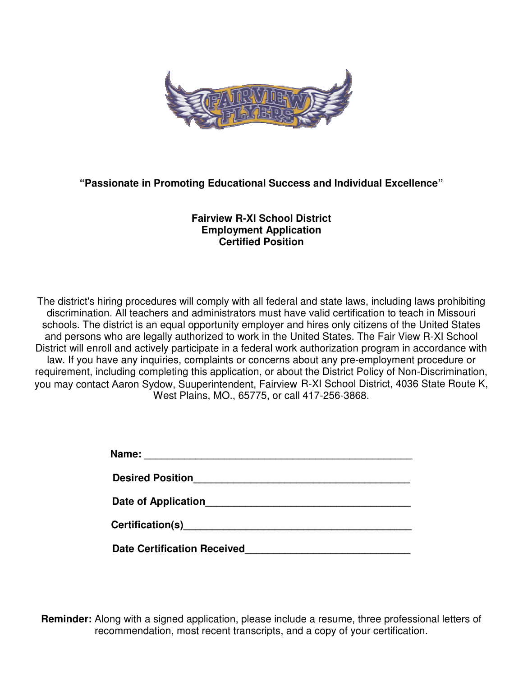

## **"Passionate in Promoting Educational Success and Promoting Educational Success Individual Excellence" Individual**

## **Fairview R Fairview R-XI School District Employment Application Certified Position**

The district's hiring procedures will comply with all federal and state laws, including laws prohibiting discrimination. All teachers and administrators must have valid certification to teach in Missouri to teach in Missouri discrimination. All teachers and administrators must have valid certification to teach in Missouri<br>schools. The district is an equal opportunity employer and hires only citizens of the United States and persons who are legally authorized to work in the United States. The Fair View R-XI School and persons who are legally authorized to work in the United States. The Fair View R-XI School<br>District will enroll and actively participate in a federal work authorization program in accordance with law. If you have any inquiries, complaints or concerns about any pre-employment procedure or requirement, including completing this application, or about the District Policy of Non-Discrimination, requirement, including completing this application, or about the District Policy of Non-Discrimination,<br>you may contact Aaron Sydow, Suuperintendent, Fairview R-XI School District, 4036 State Route K, West Plains, MO., 65775, or call 417 West Plains, MO., 65775, or call 417-256-3868.

| Name: __                           |  |
|------------------------------------|--|
| <b>Desired Position</b>            |  |
| Date of Application                |  |
| Certification(s) Certification(s)  |  |
| <b>Date Certification Received</b> |  |

**Reminder:** Along with a signed application, please include a resume, three professional letters of recommendation, most recent transcripts, and a copy of your certification.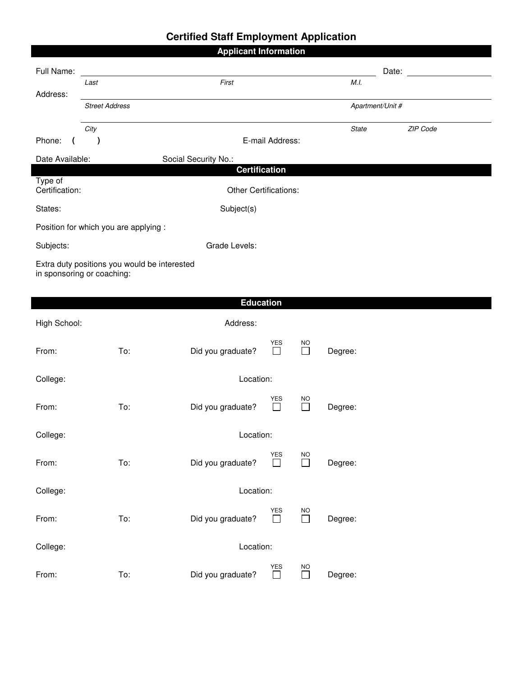# **Certified Staff Employment Application**

| <b>Applicant Information</b>            |                                                                            |                      |                      |                     |              |                  |          |  |
|-----------------------------------------|----------------------------------------------------------------------------|----------------------|----------------------|---------------------|--------------|------------------|----------|--|
| Full Name:                              |                                                                            |                      |                      |                     |              | Date:            |          |  |
| Address:                                | Last                                                                       | First                |                      |                     | M.I.         |                  |          |  |
|                                         | <b>Street Address</b>                                                      |                      |                      |                     |              | Apartment/Unit # |          |  |
| Phone:<br>(                             | City<br>$\lambda$                                                          |                      | E-mail Address:      |                     | <b>State</b> |                  | ZIP Code |  |
| Date Available:<br>Social Security No.: |                                                                            |                      |                      |                     |              |                  |          |  |
|                                         |                                                                            | <b>Certification</b> |                      |                     |              |                  |          |  |
| Type of<br>Certification:               | <b>Other Certifications:</b>                                               |                      |                      |                     |              |                  |          |  |
| States:                                 | Subject(s)                                                                 |                      |                      |                     |              |                  |          |  |
|                                         | Position for which you are applying :                                      |                      |                      |                     |              |                  |          |  |
| Subjects:                               |                                                                            | Grade Levels:        |                      |                     |              |                  |          |  |
|                                         | Extra duty positions you would be interested<br>in sponsoring or coaching: |                      |                      |                     |              |                  |          |  |
|                                         |                                                                            |                      |                      |                     |              |                  |          |  |
|                                         |                                                                            | <b>Education</b>     |                      |                     |              |                  |          |  |
| High School:                            |                                                                            | Address:             |                      |                     |              |                  |          |  |
| From:                                   | To:                                                                        | Did you graduate?    | YES<br>$\Box$        | NO<br>$\Box$        | Degree:      |                  |          |  |
| Location:<br>College:                   |                                                                            |                      |                      |                     |              |                  |          |  |
| From:                                   | To:                                                                        | Did you graduate?    | <b>YES</b>           | NO<br>$\mathsf{L}$  | Degree:      |                  |          |  |
| College:<br>Location:                   |                                                                            |                      |                      |                     |              |                  |          |  |
| From:                                   | To:                                                                        | Did you graduate?    | YES<br>$\Box$        | <b>NO</b><br>$\Box$ | Degree:      |                  |          |  |
| Location:<br>College:                   |                                                                            |                      |                      |                     |              |                  |          |  |
| From:                                   | To:                                                                        | Did you graduate?    | YES<br>$\Box$        | <b>NO</b><br>$\Box$ | Degree:      |                  |          |  |
| Location:<br>College:                   |                                                                            |                      |                      |                     |              |                  |          |  |
| From:                                   | To:                                                                        | Did you graduate?    | <b>YES</b><br>$\Box$ | $NO$<br>$\Box$      | Degree:      |                  |          |  |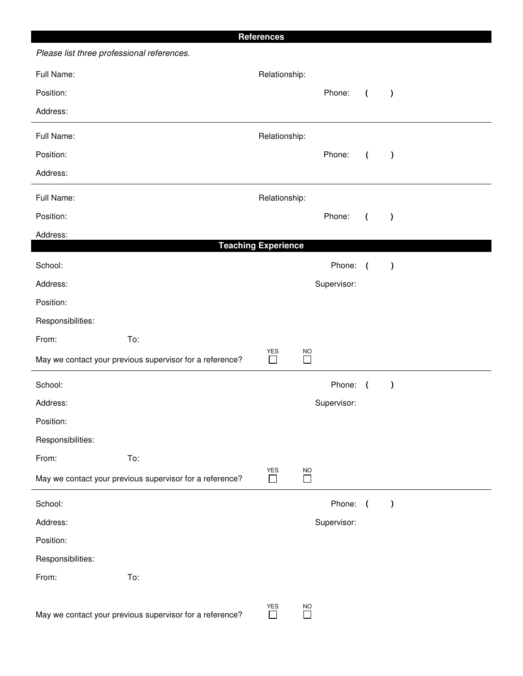|                   |                                                          | <b>References</b>          |                     |             |                |               |  |
|-------------------|----------------------------------------------------------|----------------------------|---------------------|-------------|----------------|---------------|--|
|                   | Please list three professional references.               |                            |                     |             |                |               |  |
| Full Name:        |                                                          |                            | Relationship:       |             |                |               |  |
| Position:         |                                                          |                            |                     | Phone:      | $\overline{ }$ | $\lambda$     |  |
| Address:          |                                                          |                            |                     |             |                |               |  |
| Full Name:        |                                                          | Relationship:              |                     |             |                |               |  |
| Position:         |                                                          |                            |                     | Phone:      | $\overline{ }$ | $\lambda$     |  |
| Address:          |                                                          |                            |                     |             |                |               |  |
| Full Name:        | Relationship:                                            |                            |                     |             |                |               |  |
| Position:         |                                                          |                            |                     | Phone:      | $\overline{ }$ | $\lambda$     |  |
| Address:          |                                                          | <b>Teaching Experience</b> |                     |             |                |               |  |
| School:           |                                                          |                            |                     | Phone:      | $\sqrt{ }$     | $\lambda$     |  |
| Address:          |                                                          |                            |                     | Supervisor: |                |               |  |
| Position:         |                                                          |                            |                     |             |                |               |  |
| Responsibilities: |                                                          |                            |                     |             |                |               |  |
| From:             | To:                                                      |                            |                     |             |                |               |  |
|                   | May we contact your previous supervisor for a reference? | YES<br>$\Box$              | NO.<br>$\Box$       |             |                |               |  |
| School:           |                                                          |                            |                     | Phone:      | $\sqrt{2}$     | $\mathcal{E}$ |  |
| Address:          |                                                          |                            |                     | Supervisor: |                |               |  |
| Position:         |                                                          |                            |                     |             |                |               |  |
| Responsibilities: |                                                          |                            |                     |             |                |               |  |
| From:             | To:                                                      |                            |                     |             |                |               |  |
|                   | May we contact your previous supervisor for a reference? | YES<br>$\Box$              | <b>NO</b><br>$\Box$ |             |                |               |  |
| School:           |                                                          |                            |                     | Phone: (    |                | $\rightarrow$ |  |
| Address:          |                                                          |                            |                     | Supervisor: |                |               |  |
| Position:         |                                                          |                            |                     |             |                |               |  |
| Responsibilities: |                                                          |                            |                     |             |                |               |  |
| From:             | To:                                                      |                            |                     |             |                |               |  |
|                   | May we contact your previous supervisor for a reference? | YES<br>$\Box$              | <b>NO</b><br>$\Box$ |             |                |               |  |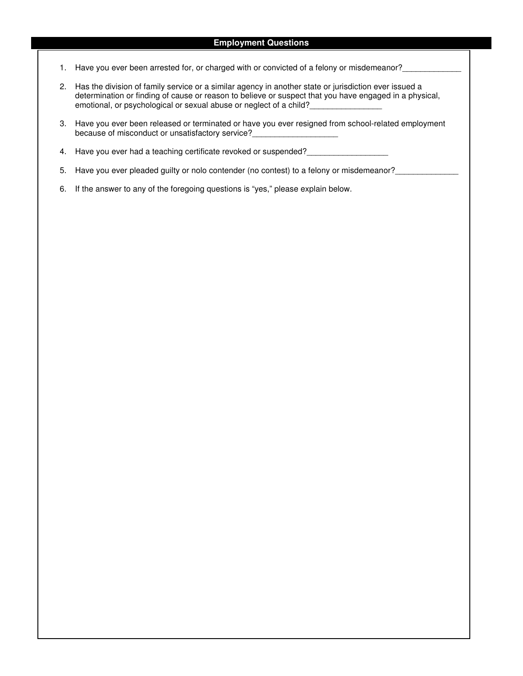#### **Employment Questions**

- 1. Have you ever been arrested for, or charged with or convicted of a felony or misdemeanor?
- 2. Has the division of family service or a similar agency in another state or jurisdiction ever issued a determination or finding of cause or reason to believe or suspect that you have engaged in a physical, emotional, or psychological or sexual abuse or neglect of a child?\_\_\_\_\_\_\_\_\_\_\_\_\_\_\_\_
- 3. Have you ever been released or terminated or have you ever resigned from school-related employment because of misconduct or unsatisfactory service?
- 4. Have you ever had a teaching certificate revoked or suspended?
- 5. Have you ever pleaded guilty or nolo contender (no contest) to a felony or misdemeanor?\_\_\_\_\_\_\_\_\_\_\_\_\_\_\_\_\_\_\_\_
- 6. If the answer to any of the foregoing questions is "yes," please explain below.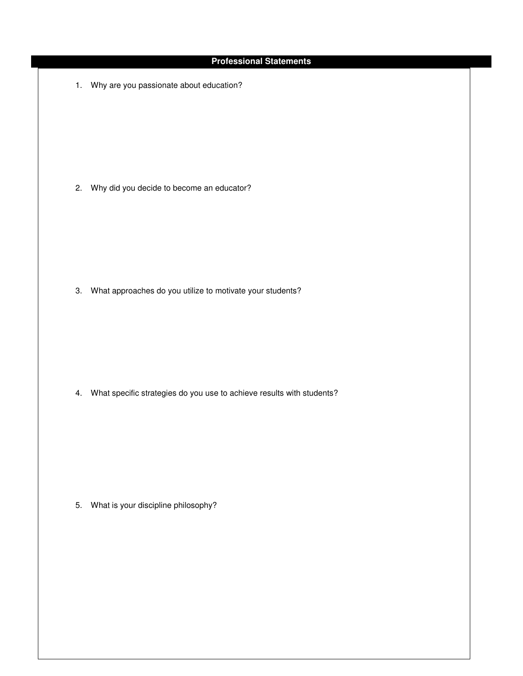### **Professional Statements**

1. Why are you passionate about education?

2. Why did you decide to become an educator?

3. What approaches do you utilize to motivate your students?

4. What specific strategies do you use to achieve results with students?

5. What is your discipline philosophy?